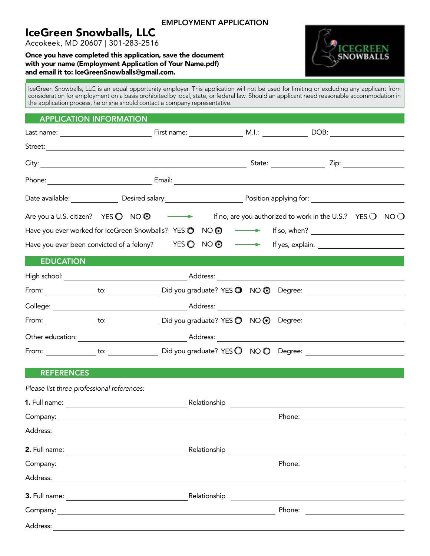# IceGreen Snowballs, LLC

Accokeek, MD 20607 | 301-283-2516

#### Once you have completed this application, save the document with your name (Employment Application of Your Name.pdf) and email it to: IceGreenSnowballs@gmail.com.

IceGreen Snowballs, LLC is an equal opportunity employer. This application will not be used for limiting or excluding any applicant from consideration for employment on a basis prohibited by local, state, or federal law. Should an applicant need reasonable accommodation in the application process, he or she should contact a company representative.

### APPLICATION INFORMATION

|                                            |          |  | Are you a U.S. citizen? YES $\bigcirc$ NO $\bigcirc$ $\longrightarrow$ If no, are you authorized to work in the U.S.? YES $\bigcirc$ NO $\bigcirc$ |  |
|--------------------------------------------|----------|--|----------------------------------------------------------------------------------------------------------------------------------------------------|--|
|                                            |          |  | Have you ever worked for IceGreen Snowballs? YES @ NO @ - Figs., when? _____________________________                                               |  |
|                                            |          |  | Have you ever been convicted of a felony? YES O NO O - If yes, explain.                                                                            |  |
| <b>EDUCATION</b>                           |          |  |                                                                                                                                                    |  |
|                                            |          |  |                                                                                                                                                    |  |
|                                            |          |  |                                                                                                                                                    |  |
|                                            |          |  |                                                                                                                                                    |  |
|                                            |          |  |                                                                                                                                                    |  |
|                                            |          |  |                                                                                                                                                    |  |
|                                            |          |  |                                                                                                                                                    |  |
| <b>REFERENCES</b>                          |          |  |                                                                                                                                                    |  |
| Please list three professional references: |          |  |                                                                                                                                                    |  |
|                                            |          |  |                                                                                                                                                    |  |
|                                            |          |  |                                                                                                                                                    |  |
|                                            |          |  |                                                                                                                                                    |  |
|                                            |          |  |                                                                                                                                                    |  |
|                                            |          |  |                                                                                                                                                    |  |
|                                            | Address: |  |                                                                                                                                                    |  |
|                                            |          |  |                                                                                                                                                    |  |
|                                            |          |  |                                                                                                                                                    |  |
| Address:                                   |          |  |                                                                                                                                                    |  |